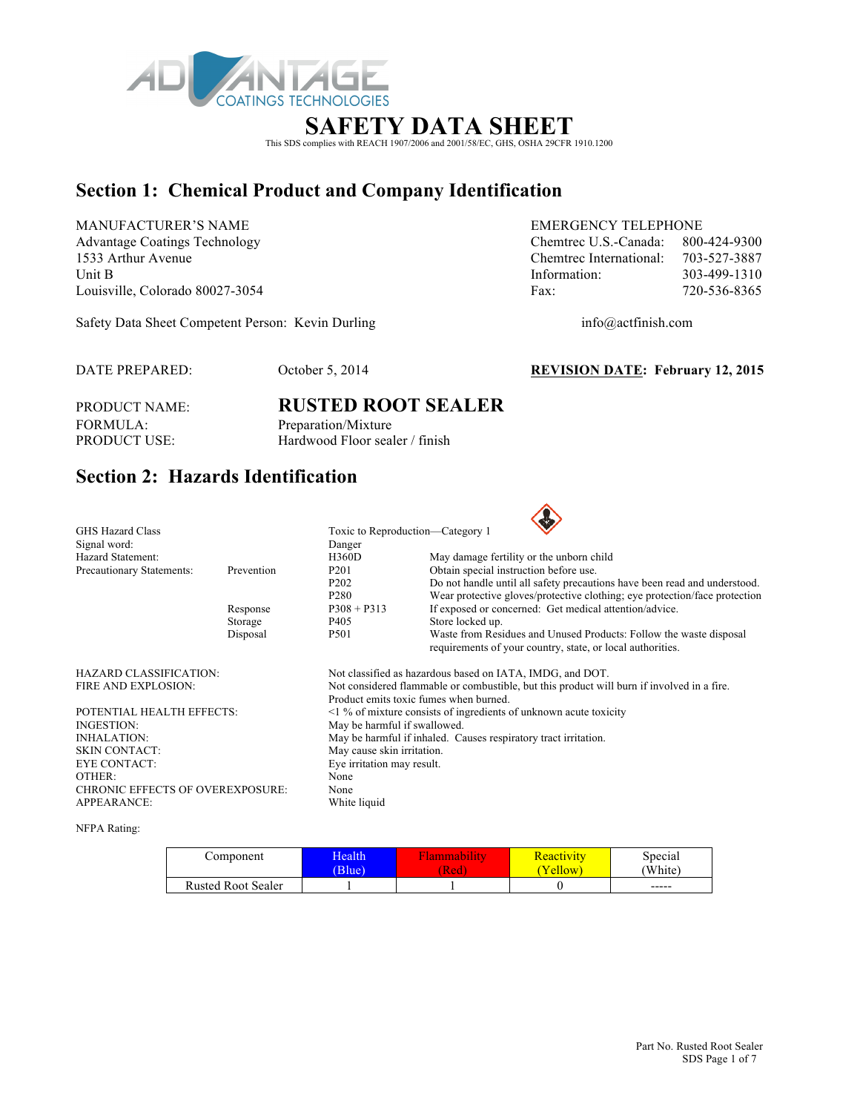

### **SAFETY DATA SHEET**

This SDS complies with REACH 1907/2006 and 2001/58/EC, GHS, OSHA 29CFR 1910.1200

### **Section 1: Chemical Product and Company Identification**

MANUFACTURER'S NAME EMERGENCY TELEPHONE Advantage Coatings Technology Chemtrec U.S.-Canada: 800-424-9300 1533 Arthur Avenue Chemtrec International: 703-527-3887 Unit B 103-499-1310 Louisville, Colorado 80027-3054 Fax: 720-536-8365

Safety Data Sheet Competent Person: Kevin Durling info@actfinish.com

DATE PREPARED: October 5, 2014 **REVISION DATE: February 12, 2015**

FORMULA: Preparation/Mixture<br>PRODUCT USE: Hardwood Floor seal

# PRODUCT NAME: **RUSTED ROOT SEALER** Hardwood Floor sealer / finish

## **Section 2: Hazards Identification**

| <b>GHS Hazard Class</b>                 |            | Toxic to Reproduction—Category 1                                                                                                     |                                                                                                                                  |  |  |  |
|-----------------------------------------|------------|--------------------------------------------------------------------------------------------------------------------------------------|----------------------------------------------------------------------------------------------------------------------------------|--|--|--|
| Signal word:                            |            | Danger                                                                                                                               |                                                                                                                                  |  |  |  |
| Hazard Statement:                       |            | <b>H360D</b>                                                                                                                         | May damage fertility or the unborn child                                                                                         |  |  |  |
| Precautionary Statements:               | Prevention | P <sub>201</sub>                                                                                                                     | Obtain special instruction before use.                                                                                           |  |  |  |
|                                         |            | P <sub>2</sub> 0 <sub>2</sub>                                                                                                        | Do not handle until all safety precautions have been read and understood.                                                        |  |  |  |
|                                         |            | P <sub>280</sub>                                                                                                                     | Wear protective gloves/protective clothing; eye protection/face protection                                                       |  |  |  |
|                                         | Response   | $P308 + P313$                                                                                                                        | If exposed or concerned: Get medical attention/advice.                                                                           |  |  |  |
|                                         | Storage    | P405                                                                                                                                 | Store locked up.                                                                                                                 |  |  |  |
|                                         | Disposal   | P501                                                                                                                                 | Waste from Residues and Unused Products: Follow the waste disposal<br>requirements of your country, state, or local authorities. |  |  |  |
| <b>HAZARD CLASSIFICATION:</b>           |            |                                                                                                                                      | Not classified as hazardous based on IATA, IMDG, and DOT.                                                                        |  |  |  |
| FIRE AND EXPLOSION:                     |            | Not considered flammable or combustible, but this product will burn if involved in a fire.<br>Product emits toxic fumes when burned. |                                                                                                                                  |  |  |  |
| POTENTIAL HEALTH EFFECTS:               |            |                                                                                                                                      | $\leq$ 1 % of mixture consists of ingredients of unknown acute toxicity                                                          |  |  |  |
| INGESTION:                              |            | May be harmful if swallowed.                                                                                                         |                                                                                                                                  |  |  |  |
| <b>INHALATION:</b>                      |            | May be harmful if inhaled. Causes respiratory tract irritation.                                                                      |                                                                                                                                  |  |  |  |
| <b>SKIN CONTACT:</b>                    |            | May cause skin irritation.                                                                                                           |                                                                                                                                  |  |  |  |
| <b>EYE CONTACT:</b>                     |            | Eye irritation may result.                                                                                                           |                                                                                                                                  |  |  |  |
| OTHER:                                  |            | None                                                                                                                                 |                                                                                                                                  |  |  |  |
| <b>CHRONIC EFFECTS OF OVEREXPOSURE:</b> |            | None                                                                                                                                 |                                                                                                                                  |  |  |  |
| <b>APPEARANCE:</b>                      |            | White liquid                                                                                                                         |                                                                                                                                  |  |  |  |
|                                         |            |                                                                                                                                      |                                                                                                                                  |  |  |  |

NFPA Rating:

| Component                 | Health<br>Blue) | (Red | <b>Reactivity</b><br>Yellow | Special<br>(White) |
|---------------------------|-----------------|------|-----------------------------|--------------------|
| <b>Rusted Root Sealer</b> |                 |      |                             | $- - - - -$        |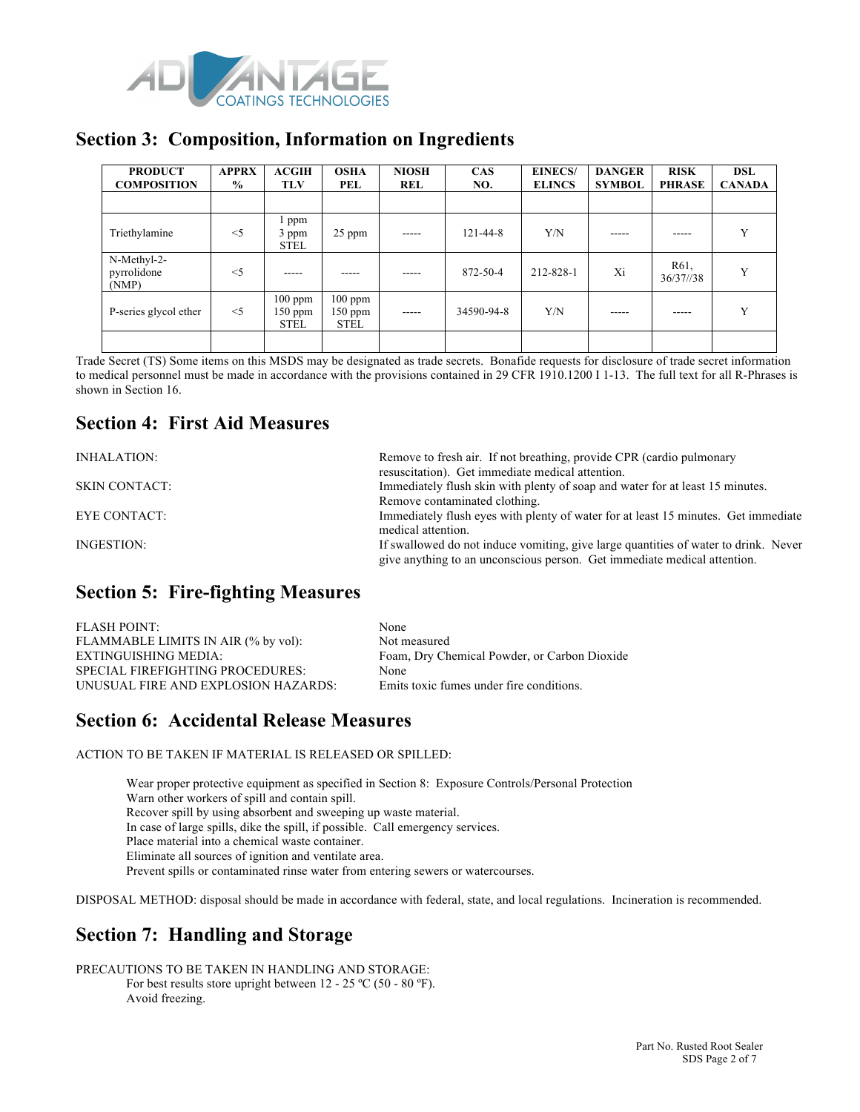

#### **Section 3: Composition, Information on Ingredients**

| <b>PRODUCT</b><br><b>COMPOSITION</b> | <b>APPRX</b><br>$\frac{0}{0}$ | ACGIH<br><b>TLV</b>                 | <b>OSHA</b><br>PEL                    | <b>NIOSH</b><br><b>REL</b> | <b>CAS</b><br>NO. | <b>EINECS/</b><br><b>ELINCS</b> | <b>DANGER</b><br><b>SYMBOL</b> | <b>RISK</b><br><b>PHRASE</b> | <b>DSL</b><br><b>CANADA</b> |
|--------------------------------------|-------------------------------|-------------------------------------|---------------------------------------|----------------------------|-------------------|---------------------------------|--------------------------------|------------------------------|-----------------------------|
|                                      |                               |                                     |                                       |                            |                   |                                 |                                |                              |                             |
| Triethylamine                        | $<$ 5                         | ppm<br>3 ppm<br><b>STEL</b>         | 25 ppm                                | $- - - - -$                | $121 - 44 - 8$    | Y/N                             | -----                          | -----                        | Y                           |
| N-Methyl-2-<br>pyrrolidone<br>(NMP)  | $<$ 5                         | -----                               |                                       | -----                      | 872-50-4          | 212-828-1                       | Xi                             | R <sub>61</sub><br>36/37/38  | Y                           |
| P-series glycol ether                | $<$ 5                         | $100$ ppm<br>150 ppm<br><b>STEL</b> | $100$ ppm<br>$150$ ppm<br><b>STEL</b> | $---$                      | 34590-94-8        | Y/N                             |                                | -----                        | v                           |
|                                      |                               |                                     |                                       |                            |                   |                                 |                                |                              |                             |

Trade Secret (TS) Some items on this MSDS may be designated as trade secrets. Bonafide requests for disclosure of trade secret information to medical personnel must be made in accordance with the provisions contained in 29 CFR 1910.1200 I 1-13. The full text for all R-Phrases is shown in Section 16.

### **Section 4: First Aid Measures**

| INHALATION:          | Remove to fresh air. If not breathing, provide CPR (cardio pulmonary                                                                                            |
|----------------------|-----------------------------------------------------------------------------------------------------------------------------------------------------------------|
|                      | resuscitation). Get immediate medical attention.                                                                                                                |
| <b>SKIN CONTACT:</b> | Immediately flush skin with plenty of soap and water for at least 15 minutes.                                                                                   |
|                      | Remove contaminated clothing.                                                                                                                                   |
| EYE CONTACT:         | Immediately flush eyes with plenty of water for at least 15 minutes. Get immediate                                                                              |
|                      | medical attention.                                                                                                                                              |
| INGESTION:           | If swallowed do not induce vomiting, give large quantities of water to drink. Never<br>give anything to an unconscious person. Get immediate medical attention. |
|                      |                                                                                                                                                                 |

### **Section 5: Fire-fighting Measures**

| <b>FLASH POINT:</b>                 | None                                         |
|-------------------------------------|----------------------------------------------|
| FLAMMABLE LIMITS IN AIR (% by vol): | Not measured                                 |
| EXTINGUISHING MEDIA:                | Foam, Dry Chemical Powder, or Carbon Dioxide |
| SPECIAL FIREFIGHTING PROCEDURES:    | <b>None</b>                                  |
| UNUSUAL FIRE AND EXPLOSION HAZARDS: | Emits toxic fumes under fire conditions.     |
|                                     |                                              |

### **Section 6: Accidental Release Measures**

ACTION TO BE TAKEN IF MATERIAL IS RELEASED OR SPILLED:

Wear proper protective equipment as specified in Section 8: Exposure Controls/Personal Protection Warn other workers of spill and contain spill. Recover spill by using absorbent and sweeping up waste material. In case of large spills, dike the spill, if possible. Call emergency services. Place material into a chemical waste container. Eliminate all sources of ignition and ventilate area. Prevent spills or contaminated rinse water from entering sewers or watercourses.

DISPOSAL METHOD: disposal should be made in accordance with federal, state, and local regulations. Incineration is recommended.

## **Section 7: Handling and Storage**

PRECAUTIONS TO BE TAKEN IN HANDLING AND STORAGE: For best results store upright between 12 - 25 °C (50 - 80 °F). Avoid freezing.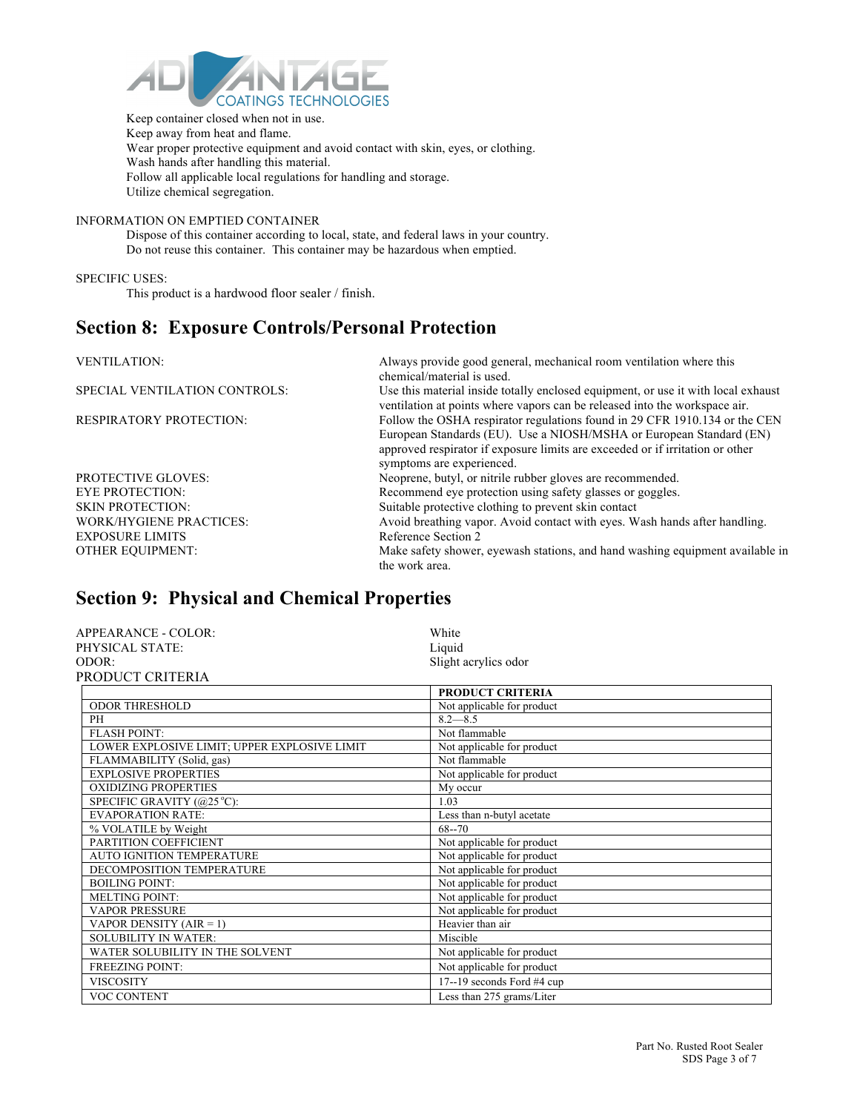

 Keep container closed when not in use. Keep away from heat and flame. Wear proper protective equipment and avoid contact with skin, eyes, or clothing. Wash hands after handling this material. Follow all applicable local regulations for handling and storage. Utilize chemical segregation.

#### INFORMATION ON EMPTIED CONTAINER

Dispose of this container according to local, state, and federal laws in your country. Do not reuse this container. This container may be hazardous when emptied.

SPECIFIC USES:

This product is a hardwood floor sealer / finish.

#### **Section 8: Exposure Controls/Personal Protection**

| <b>VENTILATION:</b>            | Always provide good general, mechanical room ventilation where this<br>chemical/material is used.                                                                                                                                                               |
|--------------------------------|-----------------------------------------------------------------------------------------------------------------------------------------------------------------------------------------------------------------------------------------------------------------|
| SPECIAL VENTILATION CONTROLS:  | Use this material inside totally enclosed equipment, or use it with local exhaust<br>ventilation at points where vapors can be released into the workspace air.                                                                                                 |
| <b>RESPIRATORY PROTECTION:</b> | Follow the OSHA respirator regulations found in 29 CFR 1910.134 or the CEN<br>European Standards (EU). Use a NIOSH/MSHA or European Standard (EN)<br>approved respirator if exposure limits are exceeded or if irritation or other<br>symptoms are experienced. |
| <b>PROTECTIVE GLOVES:</b>      | Neoprene, butyl, or nitrile rubber gloves are recommended.                                                                                                                                                                                                      |
| <b>EYE PROTECTION:</b>         | Recommend eye protection using safety glasses or goggles.                                                                                                                                                                                                       |
| <b>SKIN PROTECTION:</b>        | Suitable protective clothing to prevent skin contact                                                                                                                                                                                                            |
| <b>WORK/HYGIENE PRACTICES:</b> | Avoid breathing vapor. Avoid contact with eyes. Wash hands after handling.                                                                                                                                                                                      |
| <b>EXPOSURE LIMITS</b>         | Reference Section 2                                                                                                                                                                                                                                             |
| <b>OTHER EOUIPMENT:</b>        | Make safety shower, eyewash stations, and hand washing equipment available in<br>the work area.                                                                                                                                                                 |

### **Section 9: Physical and Chemical Properties**

| APPEARANCE - COLOR: | White                |
|---------------------|----------------------|
| PHYSICAL STATE:     | Liquid               |
| ODOR:               | Slight acrylics odor |
| PRODUCT CRITERIA    |                      |

|                                              | <b>PRODUCT CRITERIA</b>    |
|----------------------------------------------|----------------------------|
| <b>ODOR THRESHOLD</b>                        | Not applicable for product |
| PH                                           | $8.2 - 8.5$                |
| <b>FLASH POINT:</b>                          | Not flammable              |
| LOWER EXPLOSIVE LIMIT; UPPER EXPLOSIVE LIMIT | Not applicable for product |
| FLAMMABILITY (Solid, gas)                    | Not flammable              |
| <b>EXPLOSIVE PROPERTIES</b>                  | Not applicable for product |
| <b>OXIDIZING PROPERTIES</b>                  | My occur                   |
| SPECIFIC GRAVITY (@25 °C):                   | 1.03                       |
| <b>EVAPORATION RATE:</b>                     | Less than n-butyl acetate  |
| % VOLATILE by Weight                         | $68 - 70$                  |
| PARTITION COEFFICIENT                        | Not applicable for product |
| <b>AUTO IGNITION TEMPERATURE</b>             | Not applicable for product |
| DECOMPOSITION TEMPERATURE                    | Not applicable for product |
| <b>BOILING POINT:</b>                        | Not applicable for product |
| <b>MELTING POINT:</b>                        | Not applicable for product |
| <b>VAPOR PRESSURE</b>                        | Not applicable for product |
| VAPOR DENSITY (AIR = 1)                      | Heavier than air           |
| <b>SOLUBILITY IN WATER:</b>                  | Miscible                   |
| WATER SOLUBILITY IN THE SOLVENT              | Not applicable for product |
| <b>FREEZING POINT:</b>                       | Not applicable for product |
| <b>VISCOSITY</b>                             | 17--19 seconds Ford #4 cup |
| <b>VOC CONTENT</b>                           | Less than 275 grams/Liter  |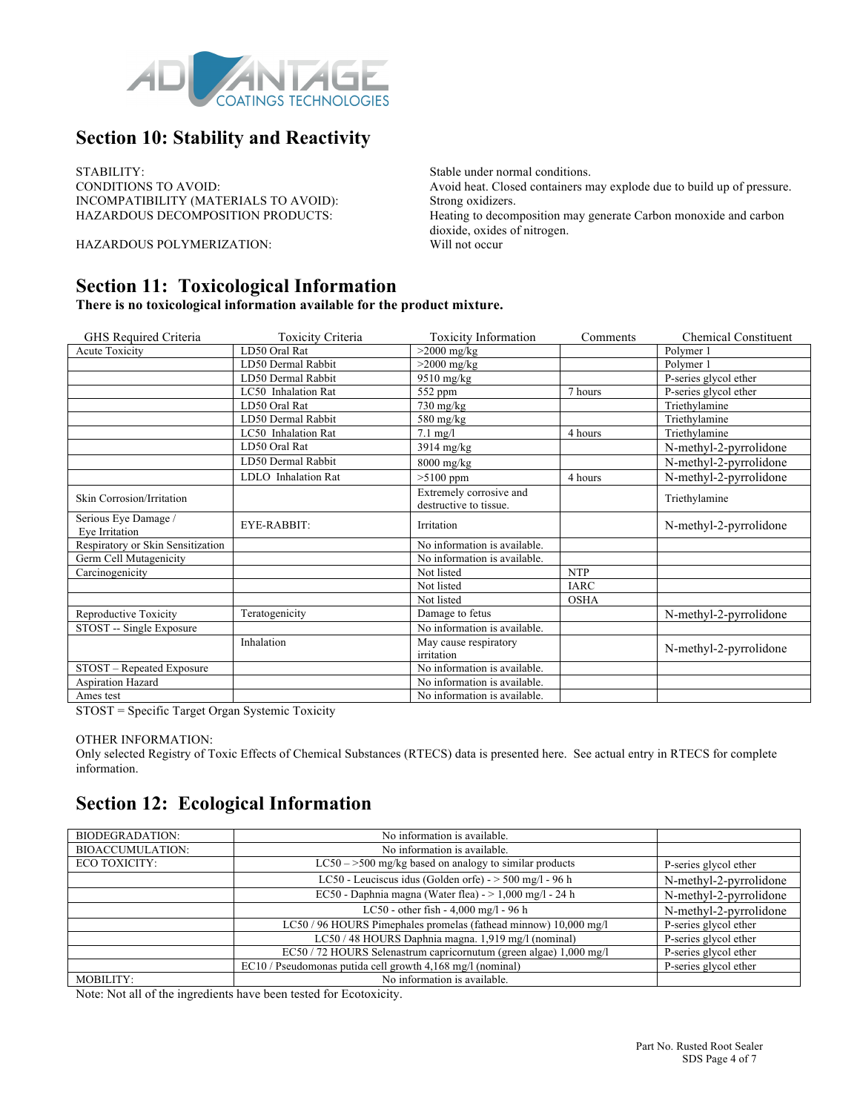

### **Section 10: Stability and Reactivity**

STABILITY:<br>
Stable under normal conditions.<br>
Avoid heat. Closed containers normal conditions.<br>
Avoid heat. Closed containers n INCOMPATIBILITY (MATERIALS TO AVOID): Strong oxidizers.

HAZARDOUS POLYMERIZATION: Will not occur

**Section 11: Toxicological Information** 

**There is no toxicological information available for the product mixture.**

| GHS Required Criteria                  | Toxicity Criteria   | <b>Toxicity Information</b>                       | Comments    | <b>Chemical Constituent</b> |
|----------------------------------------|---------------------|---------------------------------------------------|-------------|-----------------------------|
| <b>Acute Toxicity</b>                  | LD50 Oral Rat       | $>2000$ mg/kg                                     |             | Polymer 1                   |
|                                        | LD50 Dermal Rabbit  | $>2000$ mg/kg                                     |             | Polymer 1                   |
|                                        | LD50 Dermal Rabbit  | $9510$ mg/kg                                      |             | P-series glycol ether       |
|                                        | LC50 Inhalation Rat | 552 ppm                                           | 7 hours     | P-series glycol ether       |
|                                        | LD50 Oral Rat       | $730$ mg/kg                                       |             | Triethylamine               |
|                                        | LD50 Dermal Rabbit  | $580$ mg/kg                                       |             | Triethylamine               |
|                                        | LC50 Inhalation Rat | $7.1$ mg/l                                        | 4 hours     | Triethylamine               |
|                                        | LD50 Oral Rat       | $3914$ mg/kg                                      |             | N-methyl-2-pyrrolidone      |
|                                        | LD50 Dermal Rabbit  | $8000$ mg/kg                                      |             | N-methyl-2-pyrrolidone      |
|                                        | LDLO Inhalation Rat | $>5100$ ppm                                       | 4 hours     | N-methyl-2-pyrrolidone      |
| Skin Corrosion/Irritation              |                     | Extremely corrosive and<br>destructive to tissue. |             | Triethylamine               |
| Serious Eye Damage /<br>Eye Irritation | EYE-RABBIT:         | Irritation                                        |             | N-methyl-2-pyrrolidone      |
| Respiratory or Skin Sensitization      |                     | No information is available.                      |             |                             |
| Germ Cell Mutagenicity                 |                     | No information is available.                      |             |                             |
| Carcinogenicity                        |                     | Not listed                                        | <b>NTP</b>  |                             |
|                                        |                     | Not listed                                        | <b>IARC</b> |                             |
|                                        |                     | Not listed                                        | <b>OSHA</b> |                             |
| Reproductive Toxicity                  | Teratogenicity      | Damage to fetus                                   |             | N-methyl-2-pyrrolidone      |
| STOST -- Single Exposure               |                     | No information is available.                      |             |                             |
|                                        | Inhalation          | May cause respiratory<br>irritation               |             | N-methyl-2-pyrrolidone      |
| STOST - Repeated Exposure              |                     | No information is available.                      |             |                             |
| <b>Aspiration Hazard</b>               |                     | No information is available.                      |             |                             |
| Ames test                              |                     | No information is available.                      |             |                             |

STOST = Specific Target Organ Systemic Toxicity

OTHER INFORMATION:

Only selected Registry of Toxic Effects of Chemical Substances (RTECS) data is presented here. See actual entry in RTECS for complete information.

#### **Section 12: Ecological Information**

| BIODEGRADATION:         | No information is available.                                       |                        |
|-------------------------|--------------------------------------------------------------------|------------------------|
| <b>BIOACCUMULATION:</b> | No information is available.                                       |                        |
| ECO TOXICITY:           | $LC50 - >500$ mg/kg based on analogy to similar products           | P-series glycol ether  |
|                         | LC50 - Leuciscus idus (Golden orfe) - $>$ 500 mg/l - 96 h          | N-methyl-2-pyrrolidone |
|                         | EC50 - Daphnia magna (Water flea) - > 1,000 mg/l - 24 h            | N-methyl-2-pyrrolidone |
|                         | LC50 - other fish - $4,000$ mg/l - $96$ h                          | N-methyl-2-pyrrolidone |
|                         | LC50 / 96 HOURS Pimephales promelas (fathead minnow) 10,000 mg/l   | P-series glycol ether  |
|                         | LC50 / 48 HOURS Daphnia magna. 1,919 mg/l (nominal)                | P-series glycol ether  |
|                         | EC50 / 72 HOURS Selenastrum capricornutum (green algae) 1,000 mg/l | P-series glycol ether  |
|                         | EC10 / Pseudomonas putida cell growth 4,168 mg/l (nominal)         | P-series glycol ether  |
| MOBILITY:               | No information is available.                                       |                        |

Note: Not all of the ingredients have been tested for Ecotoxicity.

Avoid heat. Closed containers may explode due to build up of pressure. Heating to decomposition may generate Carbon monoxide and carbon dioxide, oxides of nitrogen.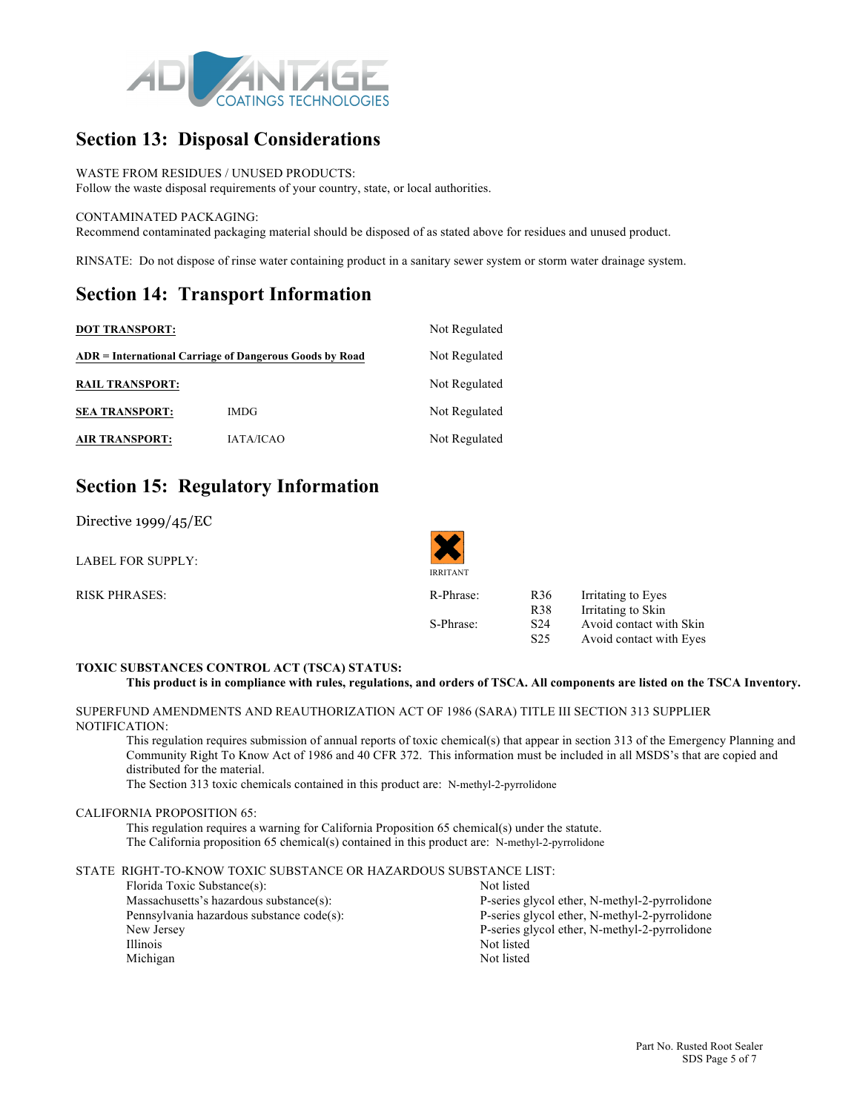

### **Section 13: Disposal Considerations**

#### WASTE FROM RESIDUES / UNUSED PRODUCTS:

Follow the waste disposal requirements of your country, state, or local authorities.

#### CONTAMINATED PACKAGING:

Recommend contaminated packaging material should be disposed of as stated above for residues and unused product.

RINSATE: Do not dispose of rinse water containing product in a sanitary sewer system or storm water drainage system.

#### **Section 14: Transport Information**

| <b>DOT TRANSPORT:</b>  | Not Regulated                                           |               |  |
|------------------------|---------------------------------------------------------|---------------|--|
|                        | ADR = International Carriage of Dangerous Goods by Road | Not Regulated |  |
| <b>RAIL TRANSPORT:</b> |                                                         | Not Regulated |  |
| <b>SEA TRANSPORT:</b>  | <b>IMDG</b>                                             | Not Regulated |  |
| <b>AIR TRANSPORT:</b>  | <b>IATA/ICAO</b>                                        | Not Regulated |  |

### **Section 15: Regulatory Information**

Directive 1999/45/EC

| LABEL FOR SUPPLY:    | <b>IRRITANT</b> |                 |                         |
|----------------------|-----------------|-----------------|-------------------------|
| <b>RISK PHRASES:</b> | R-Phrase:       | R <sub>36</sub> | Irritating to Eyes      |
|                      |                 | R <sub>38</sub> | Irritating to Skin      |
|                      | S-Phrase:       | S <sub>24</sub> | Avoid contact with Skin |
|                      |                 | S <sub>25</sub> | Avoid contact with Eyes |

#### **TOXIC SUBSTANCES CONTROL ACT (TSCA) STATUS:**

```
This product is in compliance with rules, regulations, and orders of TSCA. All components are listed on the TSCA Inventory.
```
SUPERFUND AMENDMENTS AND REAUTHORIZATION ACT OF 1986 (SARA) TITLE III SECTION 313 SUPPLIER NOTIFICATION:

This regulation requires submission of annual reports of toxic chemical(s) that appear in section 313 of the Emergency Planning and Community Right To Know Act of 1986 and 40 CFR 372. This information must be included in all MSDS's that are copied and distributed for the material.

The Section 313 toxic chemicals contained in this product are: N-methyl-2-pyrrolidone

#### CALIFORNIA PROPOSITION 65:

This regulation requires a warning for California Proposition 65 chemical(s) under the statute. The California proposition 65 chemical(s) contained in this product are: N-methyl-2-pyrrolidone

#### STATE RIGHT-TO-KNOW TOXIC SUBSTANCE OR HAZARDOUS SUBSTANCE LIST:

| Florida Toxic Substance(s):               | Not listed                                    |
|-------------------------------------------|-----------------------------------------------|
| Massachusetts's hazardous substance(s):   | P-series glycol ether, N-methyl-2-pyrrolidone |
| Pennsylvania hazardous substance code(s): | P-series glycol ether, N-methyl-2-pyrrolidone |
| New Jersey                                | P-series glycol ether, N-methyl-2-pyrrolidone |
| Illinois                                  | Not listed                                    |
| Michigan                                  | Not listed                                    |
|                                           |                                               |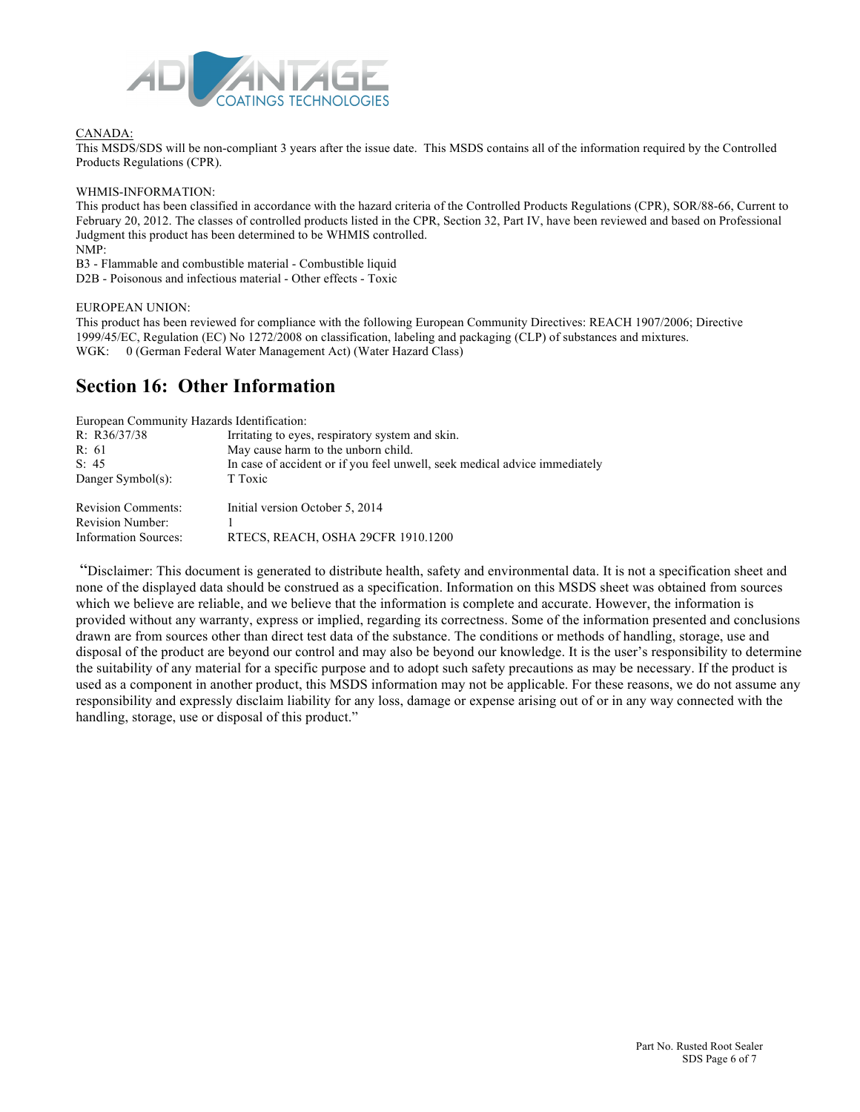

#### CANADA:

This MSDS/SDS will be non-compliant 3 years after the issue date. This MSDS contains all of the information required by the Controlled Products Regulations (CPR).

#### WHMIS-INFORMATION:

This product has been classified in accordance with the hazard criteria of the Controlled Products Regulations (CPR), SOR/88-66, Current to February 20, 2012. The classes of controlled products listed in the CPR, Section 32, Part IV, have been reviewed and based on Professional Judgment this product has been determined to be WHMIS controlled.

NMP:

B3 - Flammable and combustible material - Combustible liquid D2B - Poisonous and infectious material - Other effects - Toxic

#### EUROPEAN UNION:

This product has been reviewed for compliance with the following European Community Directives: REACH 1907/2006; Directive 1999/45/EC, Regulation (EC) No 1272/2008 on classification, labeling and packaging (CLP) of substances and mixtures. WGK: 0 (German Federal Water Management Act) (Water Hazard Class)

#### **Section 16: Other Information**

| European Community Hazards Identification: |                                                                            |
|--------------------------------------------|----------------------------------------------------------------------------|
| R: $R36/37/38$                             | Irritating to eyes, respiratory system and skin.                           |
| R: 61                                      | May cause harm to the unborn child.                                        |
| S: 45                                      | In case of accident or if you feel unwell, seek medical advice immediately |
| Danger Symbol(s):                          | T Toxic                                                                    |
| <b>Revision Comments:</b>                  | Initial version October 5, 2014                                            |
| <b>Revision Number:</b>                    |                                                                            |
| Information Sources:                       | RTECS, REACH, OSHA 29CFR 1910.1200                                         |

"Disclaimer: This document is generated to distribute health, safety and environmental data. It is not a specification sheet and none of the displayed data should be construed as a specification. Information on this MSDS sheet was obtained from sources which we believe are reliable, and we believe that the information is complete and accurate. However, the information is provided without any warranty, express or implied, regarding its correctness. Some of the information presented and conclusions drawn are from sources other than direct test data of the substance. The conditions or methods of handling, storage, use and disposal of the product are beyond our control and may also be beyond our knowledge. It is the user's responsibility to determine the suitability of any material for a specific purpose and to adopt such safety precautions as may be necessary. If the product is used as a component in another product, this MSDS information may not be applicable. For these reasons, we do not assume any responsibility and expressly disclaim liability for any loss, damage or expense arising out of or in any way connected with the handling, storage, use or disposal of this product."